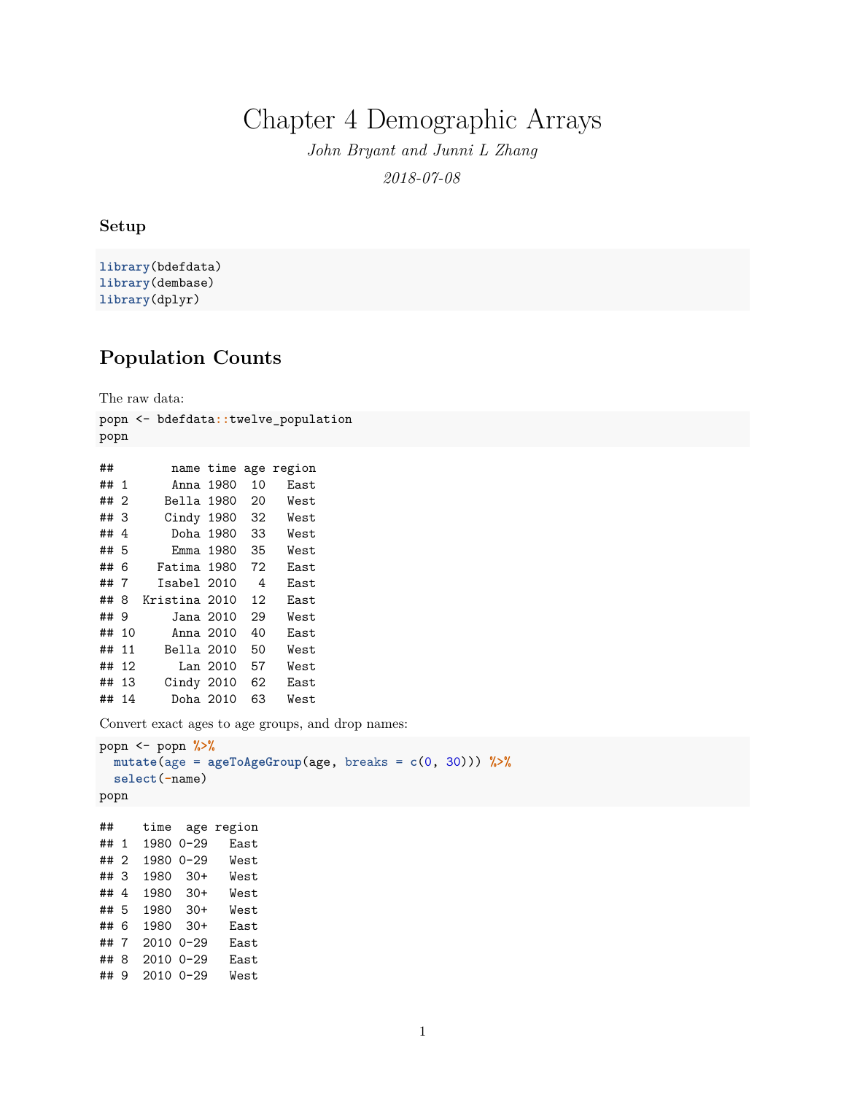Chapter 4 Demographic Arrays

*John Bryant and Junni L Zhang 2018-07-08*

#### **Setup**

**library**(bdefdata) **library**(dembase) **library**(dplyr)

## **Population Counts**

The raw data:

popn <- bdefdata**::**twelve\_population popn

| ##   |     |               | name time | age | region |
|------|-----|---------------|-----------|-----|--------|
| ## 1 |     | Anna 1980     |           | 10  | East   |
| ## 2 |     | Bella 1980    |           | 20  | West   |
| ##3  |     | Cindy 1980    |           | 32  | West   |
| ##4  |     | Doha 1980     |           | 33  | West   |
| ## 5 |     | Emma 1980     |           | 35  | West   |
| ## 6 |     | Fatima 1980   |           | 72  | East   |
| ##   | - 7 | Isabel 2010   |           | 4   | East   |
| ##   | 8   | Kristina 2010 |           | 12  | East.  |
| ##   | 9   | Jana 2010     |           | 29  | West   |
| ##   | 10  | Anna 2010     |           | 40  | East   |
| ##   | 11  | Bella 2010    |           | 50  | West   |
| ##   | 12  |               | Lan 2010  | 57  | West   |
| ##   | 13  | Cindy 2010    |           | 62  | East   |
| ##   | 14  | Doha 2010     |           | 63  | West   |

Convert exact ages to age groups, and drop names:

```
popn <- popn %>%
 mutate(age = ageToAgeGroup(age, breaks = c(0, 30))) %>%
 select(-name)
popn
## time age region
## 1 1980 0-29 East
## 2 1980 0-29 West
## 3 1980 30+ West
## 4 1980 30+ West
```
## 5 1980 30+ West ## 6 1980 30+ East ## 7 2010 0-29 East ## 8 2010 0-29 East ## 9 2010 0-29 West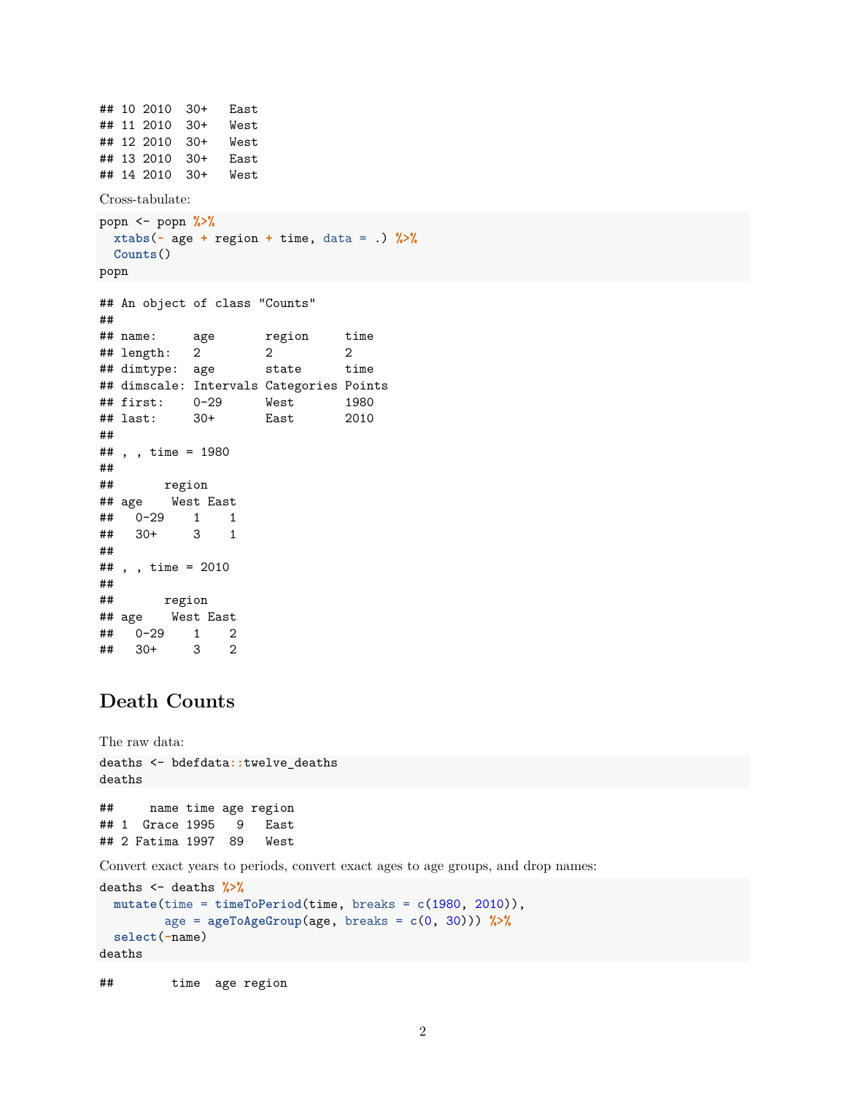```
## 10 2010 30+ East
## 11 2010 30+ West
## 12 2010 30+ West
## 13 2010 30+ East
## 14 2010 30+ West
Cross-tabulate:
popn <- popn %>%
 xtabs(~ age + region + time, data = .) %>%
 Counts()
popn
## An object of class "Counts"
##
## name: age region time
## length: 2 2 2
## dimtype: age state time
## dimscale: Intervals Categories Points
## first: 0-29 West 1980
## last: 30+ East 2010
##
## , , time = 1980
##
## region
## age West East
## 0-29 1 1
## 30+ 3 1
##
## , , time = 2010
##
## region
## age West East
## 0-29 1 2
## 30+ 3 2
```
# **Death Counts**

```
The raw data:
deaths <- bdefdata::twelve_deaths
deaths
## name time age region
## 1 Grace 1995 9 East
## 2 Fatima 1997 89 West
Convert exact years to periods, convert exact ages to age groups, and drop names:
deaths <- deaths %>%
 mutate(time = timeToPeriod(time, breaks = c(1980, 2010)),
         age = ageToAgeGroup(age, breaks = c(0, 30))) %>%
 select(-name)
```

```
deaths
```
## time age region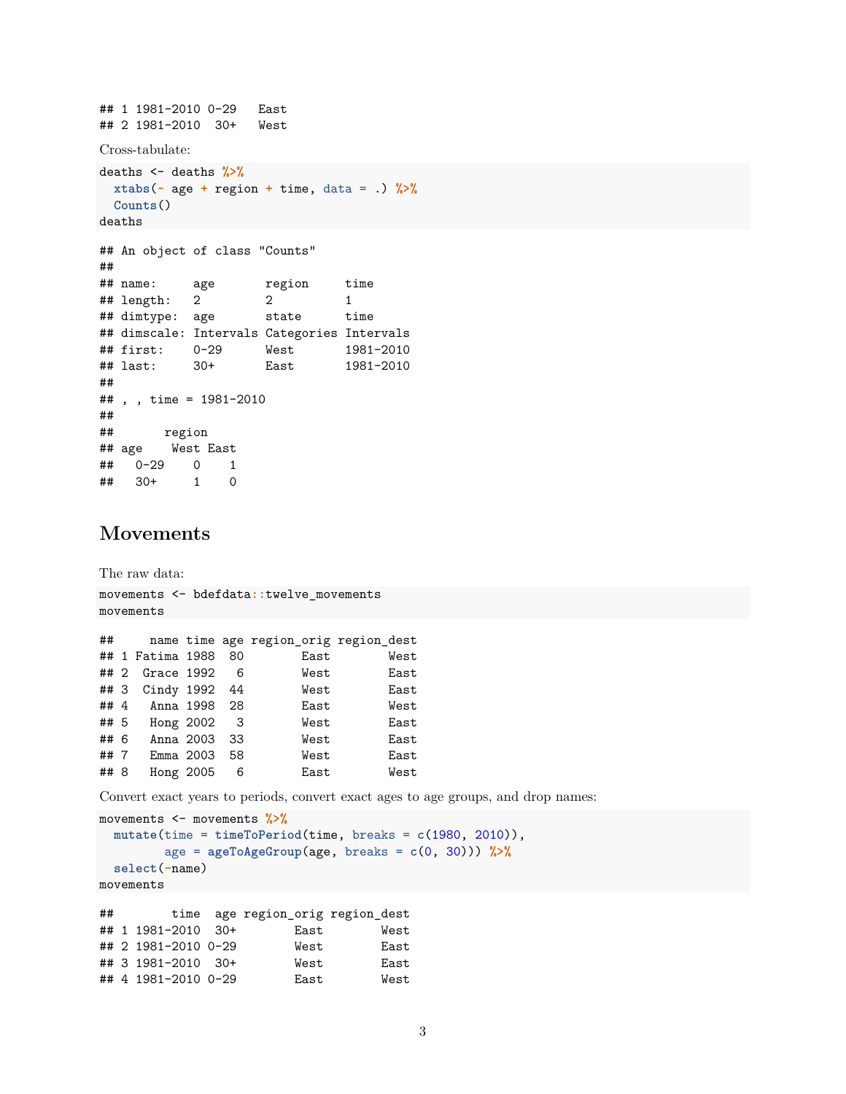```
## 1 1981-2010 0-29 East
## 2 1981-2010 30+ West
Cross-tabulate:
deaths <- deaths %>%
 xtabs(~ age + region + time, data = .) %>%
 Counts()
deaths
## An object of class "Counts"
##
## name: age region time
## length: 2 2 1
## dimtype: age state time
## dimscale: Intervals Categories Intervals
## first: 0-29 West 1981-2010
## last: 30+ East 1981-2010
##
## , , time = 1981-2010
##<br>##
       region
## age West East
## 0-29 0 1
## 30+ 1 0
```
## **Movements**

The raw data: movements <- bdefdata**::**twelve\_movements movements ## name time age region\_orig region\_dest ## 1 Fatima 1988 80 East West ## 2 Grace 1992 6 West East ## 3 Cindy 1992 44 West East ## 4 Anna 1998 28 East West ## 5 Hong 2002 3 West East Anna 2003 33 West East ## 7 Emma 2003 58 West East ## 8 Hong 2005 6 East West

Convert exact years to periods, convert exact ages to age groups, and drop names:

```
movements <- movements %>%
  mutate(time = timeToPeriod(time, breaks = c(1980, 2010)),
         age = ageToAgeGroup(age, breaks = c(0, 30))) %>%
  select(-name)
movements
```
## time age region\_orig region\_dest ## 1 1981-2010 30+ East West ## 2 1981-2010 0-29 West East ## 3 1981-2010 30+ West East ## 4 1981-2010 0-29 East West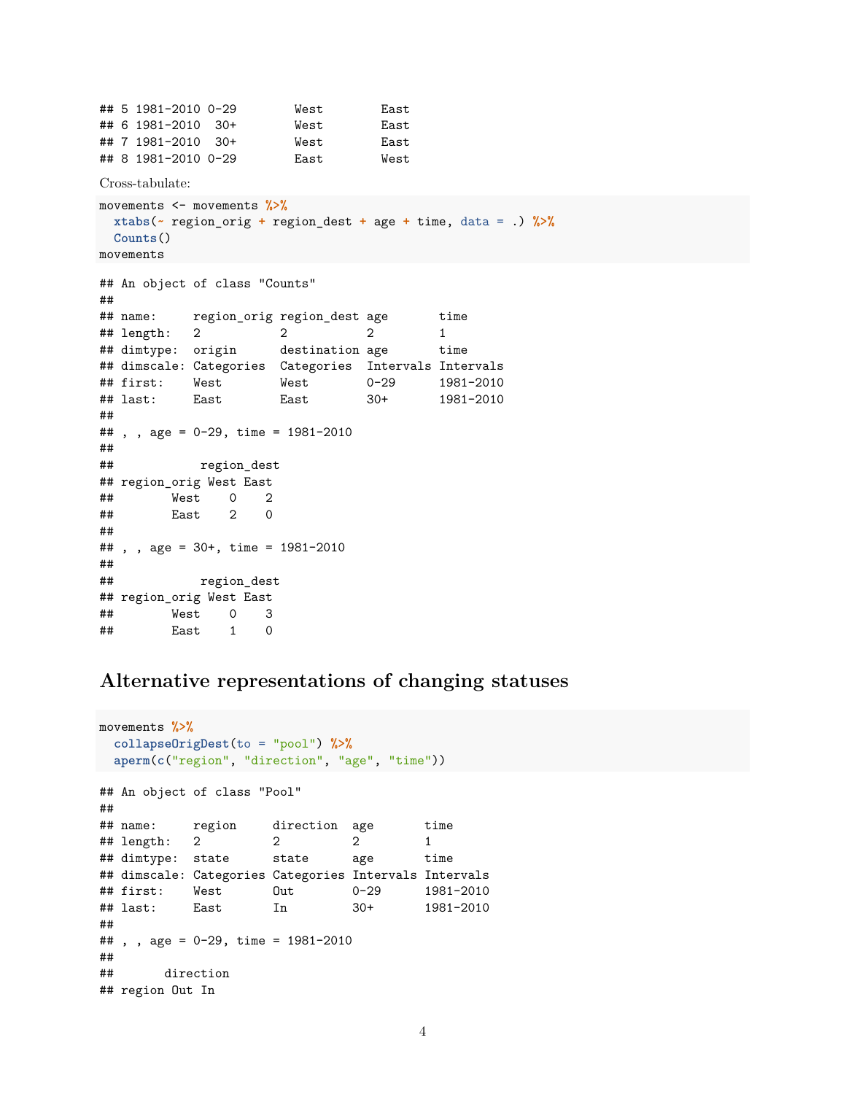```
## 5 1981-2010 0-29 West East
## 6 1981-2010 30+ West East
## 7 1981-2010 30+ West East
## 8 1981-2010 0-29 East West
Cross-tabulate:
movements <- movements %>%
 xtabs(~ region_orig + region_dest + age + time, data = .) %>%
 Counts()
movements
## An object of class "Counts"
##
## name: region_orig region_dest age time
## length: 2 2 2 1
## dimtype: origin destination age time
## dimscale: Categories Categories Intervals Intervals
## first: West West 0-29 1981-2010
## last: East East 30+ 1981-2010
##
## , , age = 0-29, time = 1981-2010
##
## region_dest
## region_orig West East
## West 0 2
## East 2 0
##
## , , age = 30+, time = 1981-2010
##
## region_dest
## region_orig West East
## West 0 3
## East 1 0
```
### **Alternative representations of changing statuses**

```
movements %>%
 collapseOrigDest(to = "pool") %>%
 aperm(c("region", "direction", "age", "time"))
## An object of class "Pool"
##
## name: region direction age time
## length: 2 2 2 1
## dimtype: state state age time
## dimscale: Categories Categories Intervals Intervals
## first: West Out 0-29 1981-2010
## last: East In 30+ 1981-2010
##
## , , age = 0-29, time = 1981-2010
##
## direction
## region Out In
```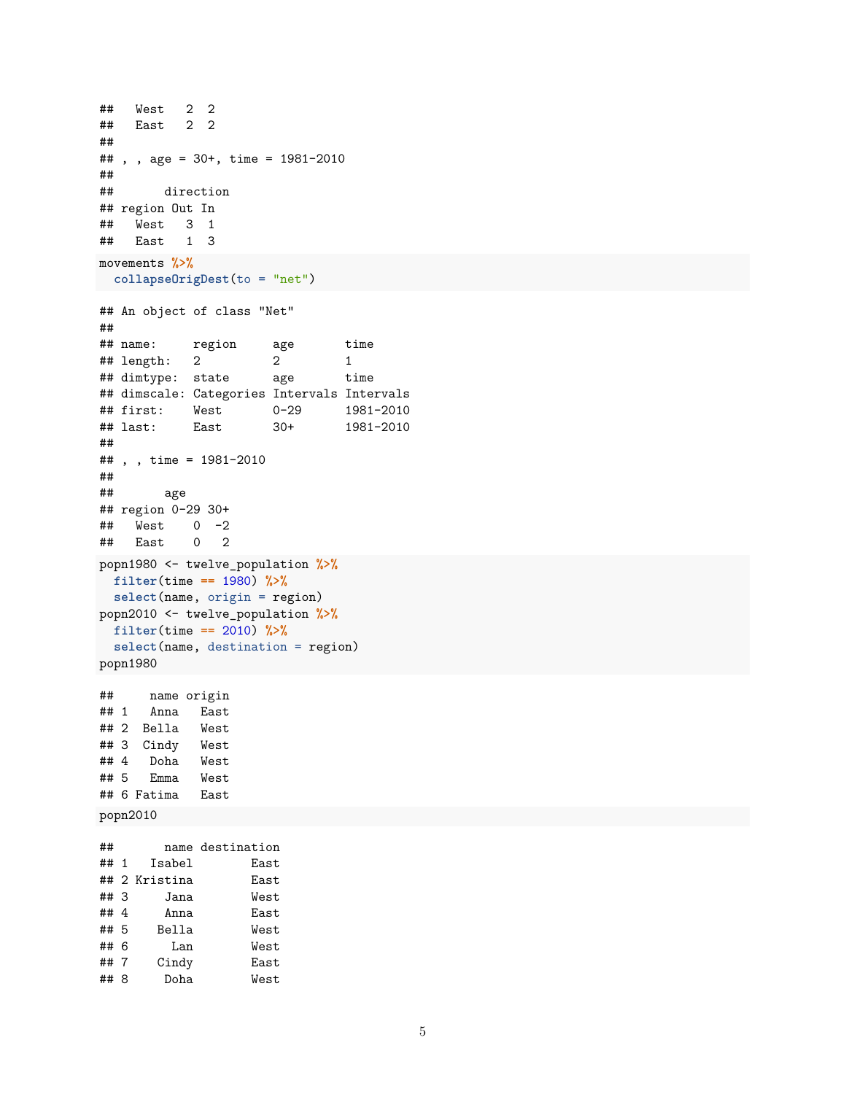```
## West 2 2
## East 2 2
##
## , , age = 30+, time = 1981-2010
##
## direction
## region Out In
## West 3 1
## East 1 3
movements %>%
collapseOrigDest(to = "net")
## An object of class "Net"
##
## name: region age time
## length: 2 2 1
## dimtype: state age time
## dimscale: Categories Intervals Intervals
## first: West 0-29 1981-2010
## last: East 30+ 1981-2010
##
## , , time = 1981-2010
##
## age
## region 0-29 30+
## West 0 -2
## East 0 2
popn1980 <- twelve_population %>%
filter(time == 1980) %>%
 select(name, origin = region)
popn2010 <- twelve_population %>%
 filter(time == 2010) %>%
 select(name, destination = region)
popn1980
## name origin
## 1 Anna East
## 2 Bella West
## 3 Cindy West
## 4 Doha West
## 5 Emma West
## 6 Fatima East
popn2010
## name destination
## 1 Isabel East
## 2 Kristina East
## 3 Jana West
      Anna East
## 5 Bella West
## 6 Lan West
## 7 Cindy East
## 8 Doha West
```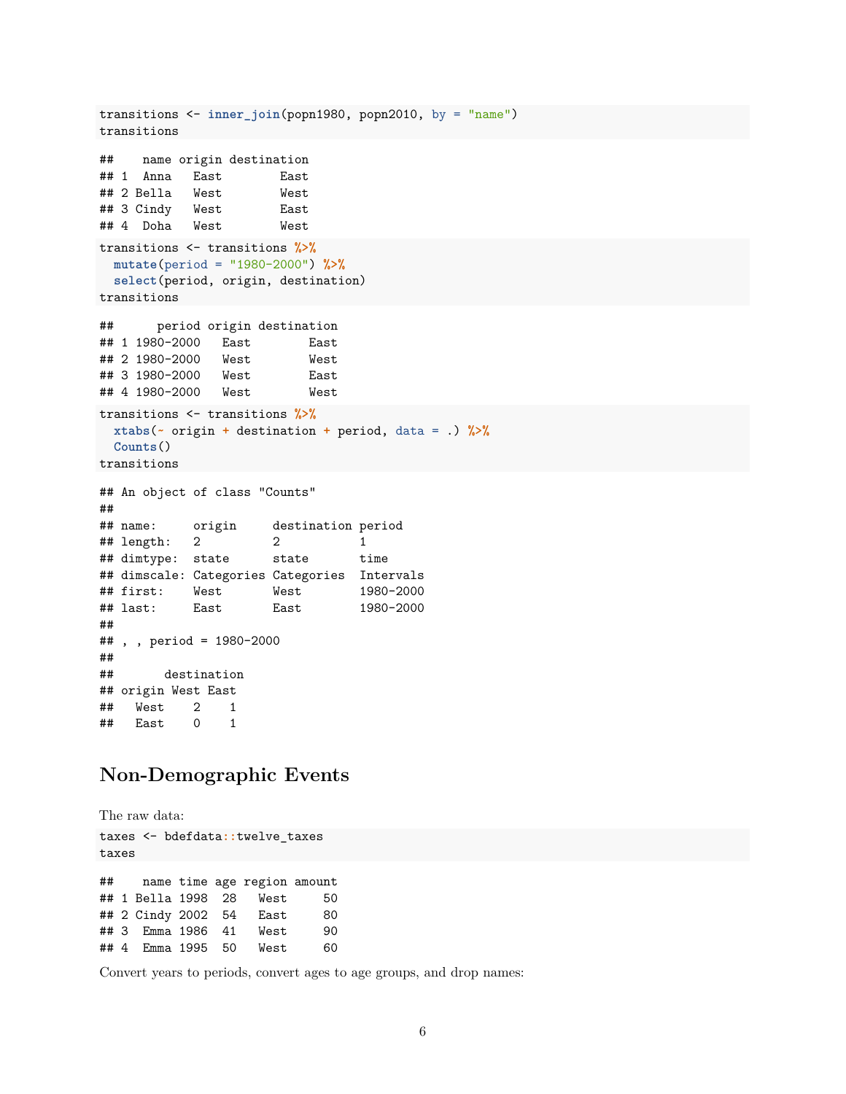```
transitions <- inner_join(popn1980, popn2010, by = "name")
transitions
## name origin destination
## 1 Anna East East
## 2 Bella West West
## 3 Cindy West East
## 4 Doha West West
transitions <- transitions %>%
 mutate(period = "1980-2000") %>%
 select(period, origin, destination)
transitions
## period origin destination
## 1 1980-2000 East East
## 2 1980-2000 West West
## 3 1980-2000 West East
## 4 1980-2000 West West
transitions <- transitions %>%
 xtabs(~ origin + destination + period, data = .) %>%
 Counts()
transitions
## An object of class "Counts"
##
## name: origin destination period
## length: 2 2 1
## dimtype: state state time
## dimscale: Categories Categories Intervals
## first: West West 1980-2000
## last: East East 1980-2000
##
## , , period = 1980-2000
##
## destination
## origin West East
## West 2 1
## East 0 1
```
### **Non-Demographic Events**

The raw data: taxes <- bdefdata**::**twelve\_taxes taxes ## name time age region amount ## 1 Bella 1998 28 West 50 ## 2 Cindy 2002 54 East 80 ## 3 Emma 1986 41 West 90 ## 4 Emma 1995 50 West 60

Convert years to periods, convert ages to age groups, and drop names: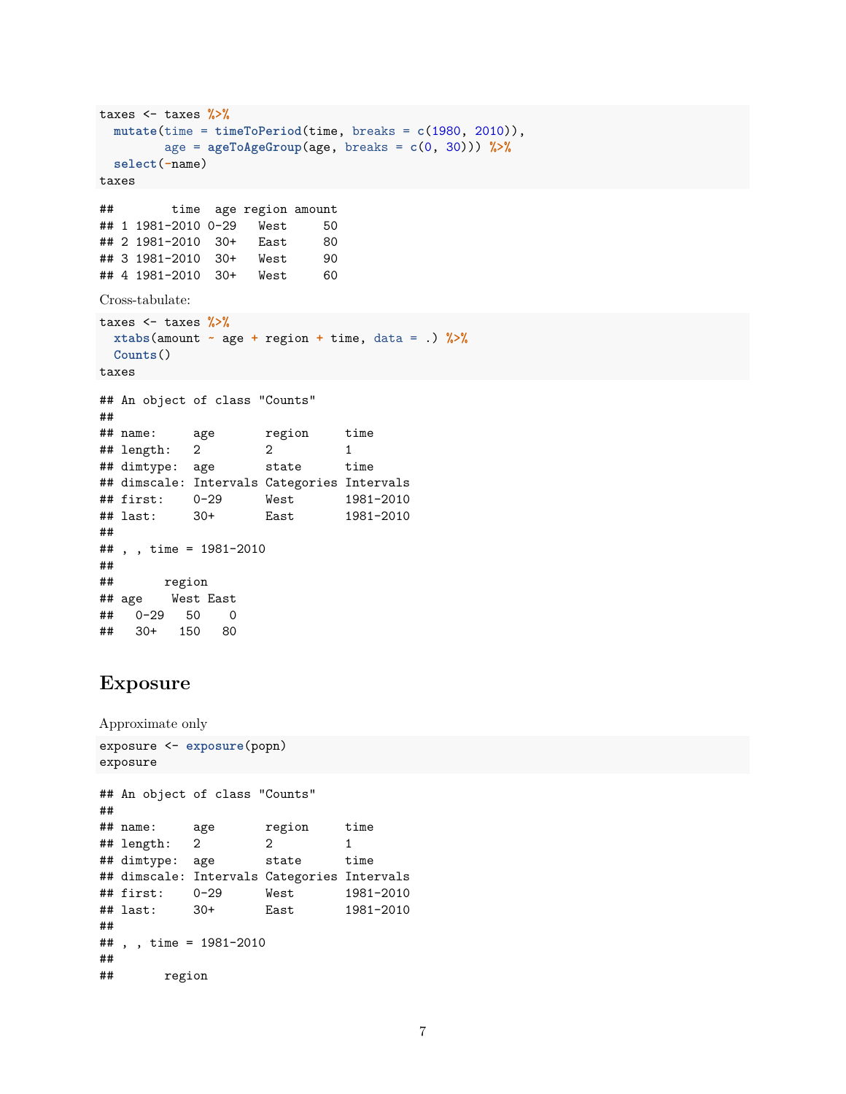```
taxes <- taxes %>%
 mutate(time = timeToPeriod(time, breaks = c(1980, 2010)),
       age = ageToAgeGroup(age, breaks = c(0, 30))) %>%
 select(-name)
taxes
## time age region amount
## 1 1981-2010 0-29 West 50
## 2 1981-2010 30+ East 80
## 3 1981-2010 30+ West 90
## 4 1981-2010 30+ West 60
Cross-tabulate:
taxes <- taxes %>%
 xtabs(amount ~ age + region + time, data = .) %>%
 Counts()
taxes
## An object of class "Counts"
##
## name: age region time
## length: 2 2 1
## dimtype: age state time
## dimscale: Intervals Categories Intervals
## first: 0-29 West 1981-2010
## last: 30+ East 1981-2010
##
## , , time = 1981-2010
##
## region
## age West East
## 0-29 50 0
## 30+ 150 80
```
### **Exposure**

```
Approximate only
exposure <- exposure(popn)
exposure
## An object of class "Counts"
##
## name: age region time
## length: 2 2 1
## dimtype: age state time
## dimscale: Intervals Categories Intervals
## first: 0-29 West 1981-2010
## last: 30+ East 1981-2010
##
## , , time = 1981-2010
##
## region
```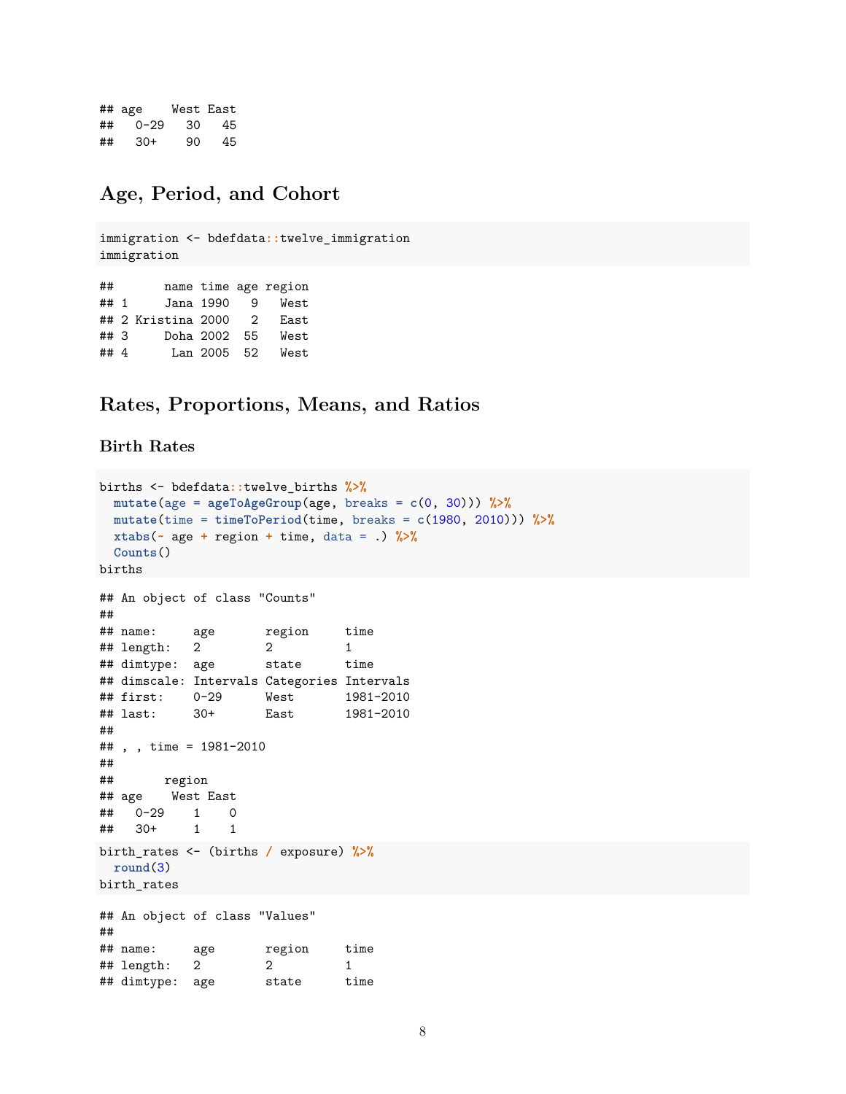## age West East ## 0-29 30 45 ## 30+ 90 45

## **Age, Period, and Cohort**

immigration <- bdefdata**::**twelve\_immigration immigration ## name time age region ## 1 Jana 1990 9 West ## 2 Kristina 2000 2 East ## 3 Doha 2002 55 West ## 4 Lan 2005 52 West

## **Rates, Proportions, Means, and Ratios**

### **Birth Rates**

```
births <- bdefdata::twelve_births %>%
 mutate(age = ageToAgeGroup(age, breaks = c(0, 30))) %>%
 mutate(time = timeToPeriod(time, breaks = c(1980, 2010))) %>%
 xtabs(~ age + region + time, data = .) %>%
 Counts()
births
## An object of class "Counts"
##
## name: age region time
## length: 2 2 1
## dimtype: age state time
## dimscale: Intervals Categories Intervals
## first: 0-29 West 1981-2010
## last: 30+ East 1981-2010
##
## , , time = 1981-2010
##
## region
## age West East
## 0-29 1 0
## 30+ 1 1
birth_rates <- (births / exposure) %>%
 round(3)
birth_rates
## An object of class "Values"
##
## name: age region time
## length: 2 2 1
## dimtype: age state time
```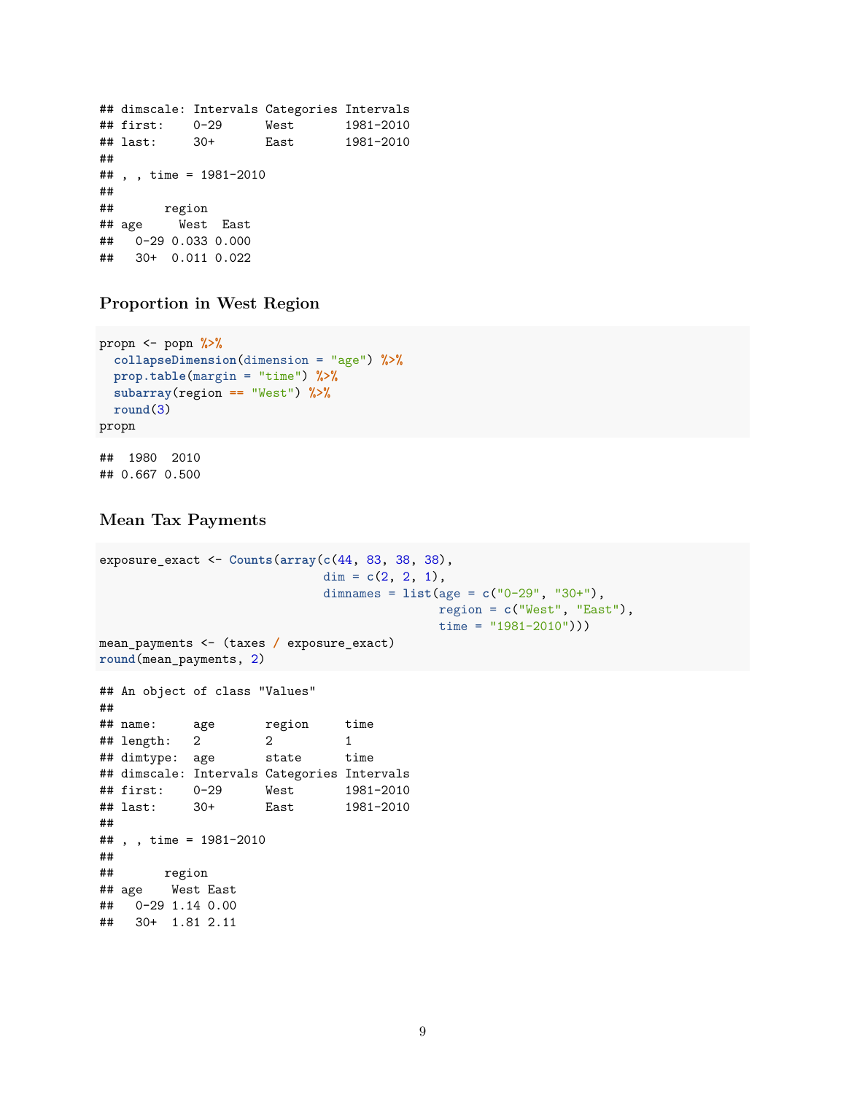```
## dimscale: Intervals Categories Intervals
## first: 0-29 West 1981-2010
## last: 30+ East 1981-2010
##
## , , time = 1981-2010
##
## region
## age West East
## 0-29 0.033 0.000
## 30+ 0.011 0.022
```
**Proportion in West Region**

```
propn <- popn %>%
  collapseDimension(dimension = "age") %>%
  prop.table(margin = "time") %>%
  subarray(region == "West") %>%
  round(3)
propn
## 1980 2010
```
## 0.667 0.500

### **Mean Tax Payments**

## 30+ 1.81 2.11

```
exposure_exact <- Counts(array(c(44, 83, 38, 38),
                           dim = c(2, 2, 1),
                           dimnames = list(age = c("0-29", "30+"),
                                        region = c("West", "East"),
                                        time = "1981-2010")))
mean_payments <- (taxes / exposure_exact)
round(mean_payments, 2)
## An object of class "Values"
##
## name: age region time
## length: 2 2 1
## dimtype: age state time
## dimscale: Intervals Categories Intervals
## first: 0-29 West 1981-2010
## last: 30+ East 1981-2010
##
## , , time = 1981-2010
##
## region
## age West East
## 0-29 1.14 0.00
```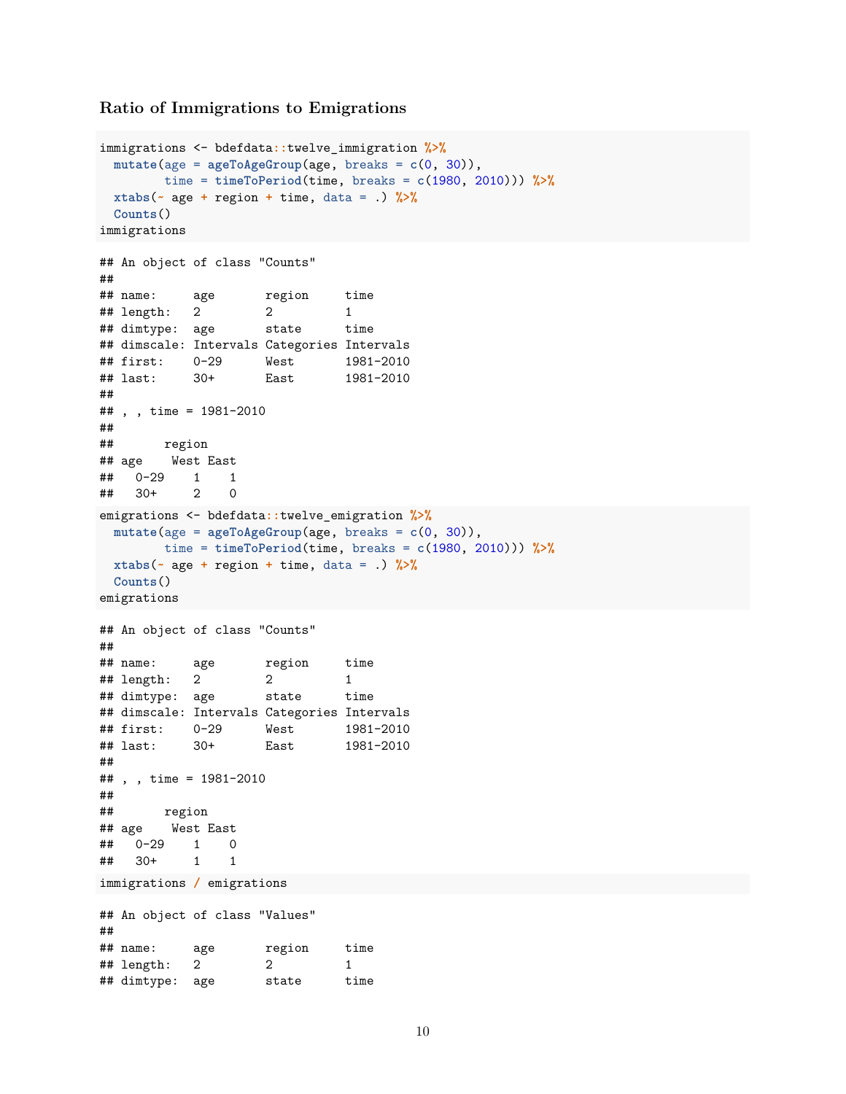#### **Ratio of Immigrations to Emigrations**

```
immigrations <- bdefdata::twelve_immigration %>%
 mutate(age = ageToAgeGroup(age, breaks = c(0, 30)),
       time = timeToPeriod(time, breaks = c(1980, 2010))) %>%
 xtabs(~ age + region + time, data = .) %>%
 Counts()
immigrations
## An object of class "Counts"
##
## name: age region time
## length: 2 2 1
## dimtype: age state time
## dimscale: Intervals Categories Intervals
## first: 0-29 West 1981-2010
## last: 30+ East 1981-2010
##
## , , time = 1981-2010
##
## region
## age West East
## 0-29 1 1
## 30+ 2 0
emigrations <- bdefdata::twelve_emigration %>%
 mutate(age = ageToAgeGroup(age, breaks = c(0, 30)),
       time = timeToPeriod(time, breaks = c(1980, 2010))) %>%
 xtabs(~ age + region + time, data = .) %>%
 Counts()
emigrations
## An object of class "Counts"
##
## name: age region time
## length: 2 2 1
## dimtype: age state time
## dimscale: Intervals Categories Intervals
## first: 0-29 West 1981-2010
## last: 30+ East 1981-2010
##
## , , time = 1981-2010
##
## region
## age West East
## 0-29 1 0
## 30+ 1 1
immigrations / emigrations
## An object of class "Values"
##
## name: age region time
## length: 2 2 1
## dimtype: age state time
```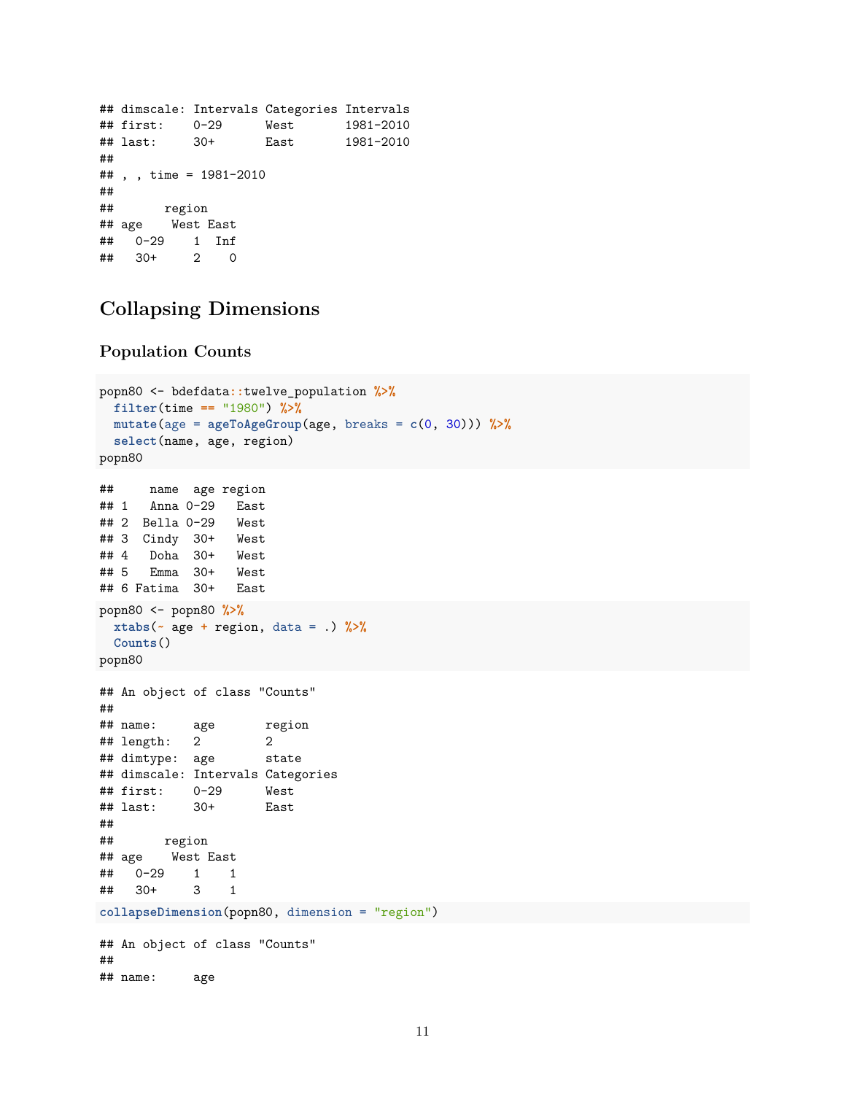```
## dimscale: Intervals Categories Intervals
## first: 0-29 West 1981-2010
## last: 30+ East 1981-2010
##
## , , time = 1981-2010
##
## region
## age West East
## 0-29 1 Inf
## 30+ 2 0
```
# **Collapsing Dimensions**

#### **Population Counts**

```
popn80 <- bdefdata::twelve_population %>%
 filter(time == "1980") %>%
 mutate(age = ageToAgeGroup(age, breaks = c(0, 30))) %>%
 select(name, age, region)
popn80
## name age region
## 1 Anna 0-29 East
## 2 Bella 0-29 West
## 3 Cindy 30+ West
## 4 Doha 30+ West
## 5 Emma 30+ West
## 6 Fatima 30+ East
popn80 <- popn80 %>%
 xtabs(~ age + region, data = .) %>%
 Counts()
popn80
## An object of class "Counts"
##
## name: age region
## length: 2 2
## dimtype: age state
## dimscale: Intervals Categories
## first: 0-29 West
## last: 30+ East
##
## region
## age West East
## 0-29 1 1
## 30+ 3 1
collapseDimension(popn80, dimension = "region")
## An object of class "Counts"
##
## name: age
```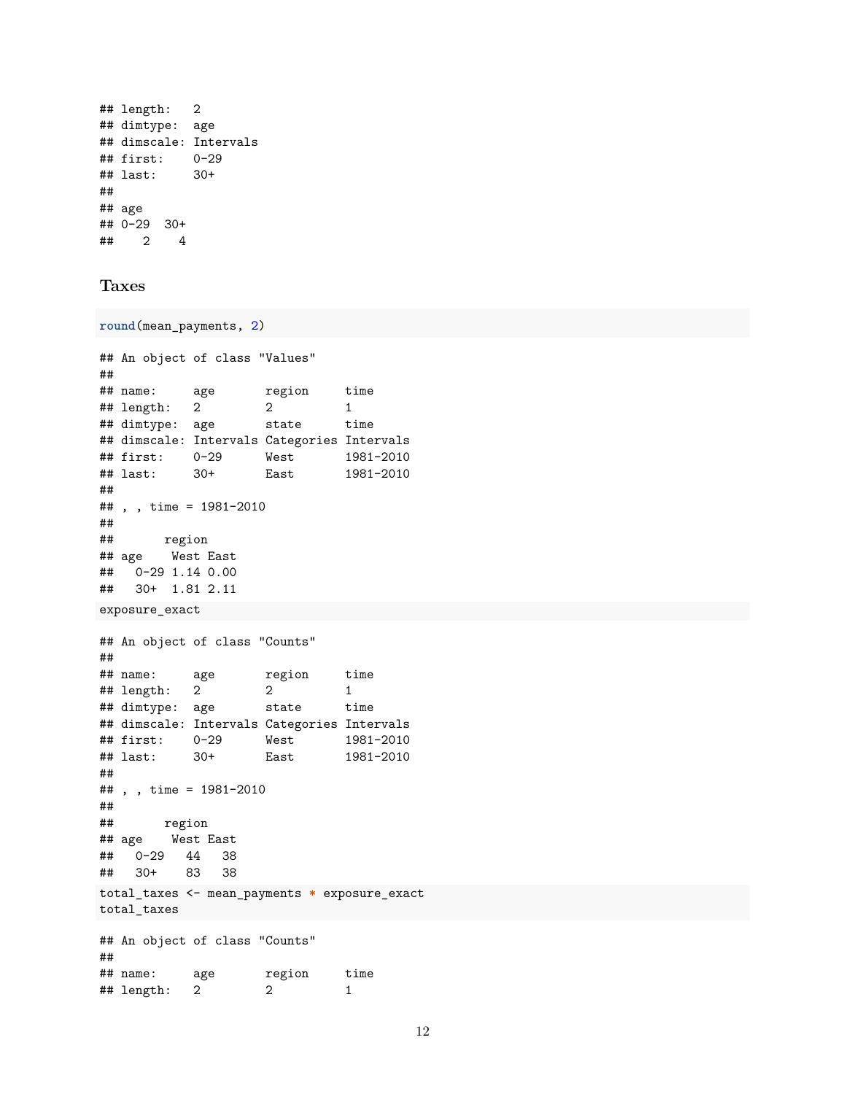```
## length: 2
## dimtype: age
## dimscale: Intervals
## first: 0-29
## last: 30+
##
## age
## 0-29 30+
## 2 4
```
### **Taxes**

```
round(mean_payments, 2)
## An object of class "Values"
##
## name: age region time
## length: 2 2 1
## dimtype: age state time
## dimscale: Intervals Categories Intervals
## first: 0-29 West 1981-2010
## last: 30+ East 1981-2010
##
## , , time = 1981-2010
##
## region
## age West East
## 0-29 1.14 0.00
## 30+ 1.81 2.11
exposure_exact
## An object of class "Counts"
##
## name: age region time
## length: 2 2 1
## dimtype: age state time
## dimscale: Intervals Categories Intervals
## first: 0-29 West 1981-2010
## last: 30+ East 1981-2010
##
## , , time = 1981-2010
##
## region
## age West East
## 0-29 44 38
## 30+ 83 38
total_taxes <- mean_payments * exposure_exact
total_taxes
## An object of class "Counts"
##
## name: age region time
## length: 2 2 1
```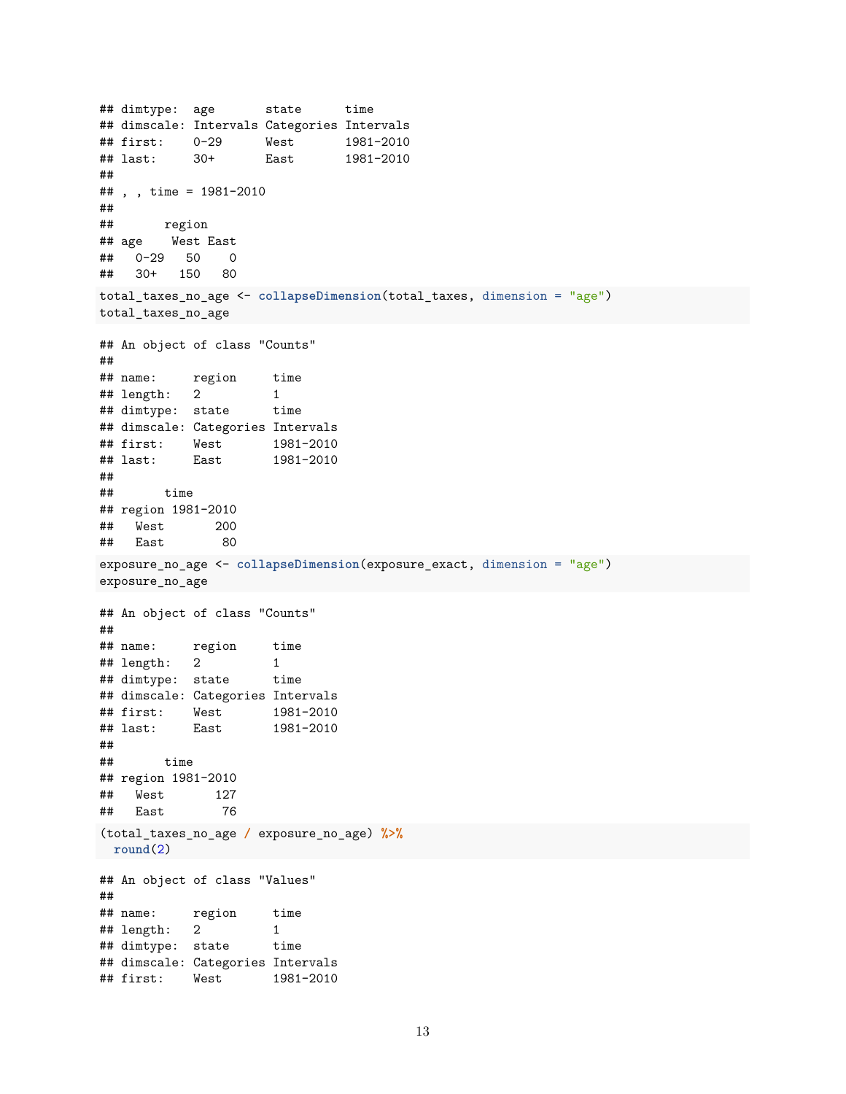```
## dimtype: age state time
## dimscale: Intervals Categories Intervals
## first: 0-29 West 1981-2010
## last: 30+ East 1981-2010
##
## , , time = 1981-2010
##
## region
## age West East
## 0-29 50 0
## 30+ 150 80
total_taxes_no_age <- collapseDimension(total_taxes, dimension = "age")
total_taxes_no_age
## An object of class "Counts"
##
## name: region time
## length: 2 1
## dimtype: state time
## dimscale: Categories Intervals
## first: West 1981-2010
## last: East 1981-2010
##
## time
## region 1981-2010
## West 200
## East 80
exposure_no_age <- collapseDimension(exposure_exact, dimension = "age")
exposure_no_age
## An object of class "Counts"
##
## name: region time
## length: 2 1
## dimtype: state time
## dimscale: Categories Intervals
## first: West 1981-2010
## last: East 1981-2010
##
## time
## region 1981-2010
## West 127
## East 76
(total_taxes_no_age / exposure_no_age) %>%
round(2)
## An object of class "Values"
##
## name: region time
\# length: 2 1
## dimtype: state time
## dimscale: Categories Intervals
## first: West 1981-2010
```